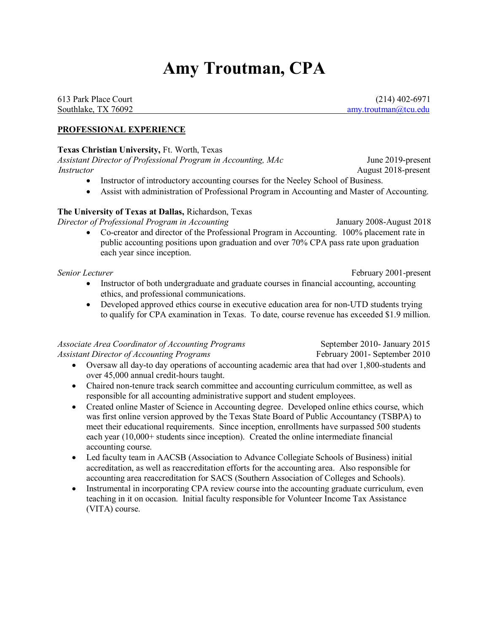# **Amy Troutman, CPA**

613 Park Place Court (214) 402-6971 Southlake, TX 76092 [amy.troutman@tcu.edu](mailto:amy.troutman@tcu.edu)

### **PROFESSIONAL EXPERIENCE**

#### **Texas Christian University,** Ft. Worth, Texas

*Assistant Director of Professional Program in Accounting, MAc* June 2019-present *Instructor* August 2018-present

- Instructor of introductory accounting courses for the Neeley School of Business.
- Assist with administration of Professional Program in Accounting and Master of Accounting.

#### **The University of Texas at Dallas,** Richardson, Texas

*Director of Professional Program in Accounting* January 2008-August 2018

- 
- Co-creator and director of the Professional Program in Accounting. 100% placement rate in public accounting positions upon graduation and over 70% CPA pass rate upon graduation each year since inception.

*Senior Lecturer* February 2001-present

- Instructor of both undergraduate and graduate courses in financial accounting, accounting ethics, and professional communications.
- Developed approved ethics course in executive education area for non-UTD students trying to qualify for CPA examination in Texas. To date, course revenue has exceeded \$1.9 million.

*Associate Area Coordinator of Accounting Programs* September 2010- January 2015 *Assistant Director of Accounting Programs* February 2001- September 2010

- Oversaw all day-to day operations of accounting academic area that had over 1,800-students and over 45,000 annual credit-hours taught.
- Chaired non-tenure track search committee and accounting curriculum committee, as well as responsible for all accounting administrative support and student employees.
- Created online Master of Science in Accounting degree. Developed online ethics course, which was first online version approved by the Texas State Board of Public Accountancy (TSBPA) to meet their educational requirements. Since inception, enrollments have surpassed 500 students each year (10,000+ students since inception). Created the online intermediate financial accounting course.
- Led faculty team in AACSB (Association to Advance Collegiate Schools of Business) initial accreditation, as well as reaccreditation efforts for the accounting area. Also responsible for accounting area reaccreditation for SACS (Southern Association of Colleges and Schools).
- Instrumental in incorporating CPA review course into the accounting graduate curriculum, even teaching in it on occasion. Initial faculty responsible for Volunteer Income Tax Assistance (VITA) course.